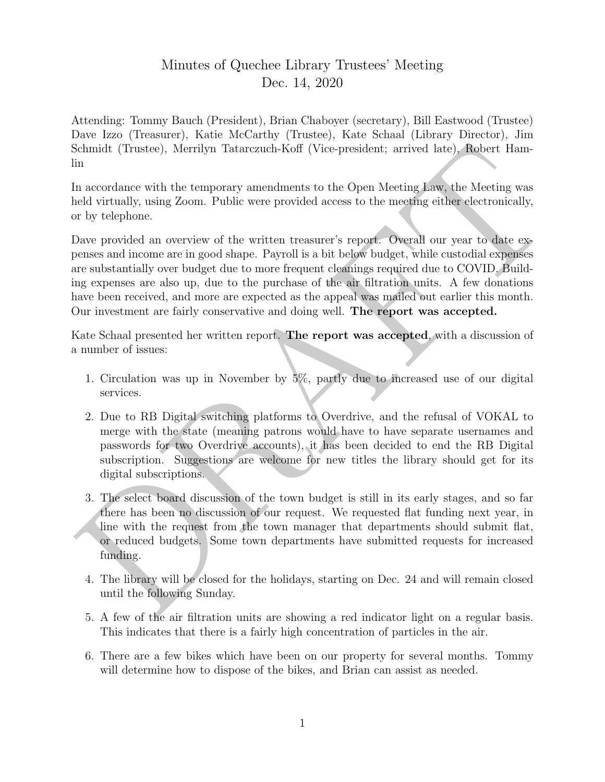## Minutes of Quechee Library Trustees' Meeting Dec. 14, 2020

Attending: Tommy Bauch (President), Brian Chaboyer (secretary), Bill Eastwood (Trustee) Dave Izzo (Treasurer), Katie McCarthy (Trustee), Kate Schaal (Library Director), Jim Schmidt (Trustee), Merrilyn Tatarczuch-Koff (Vice-president; arrived late), Robert Hamlin

In accordance with the temporary amendments to the Open Meeting Law, the Meeting was held virtually, using Zoom. Public were provided access to the meeting either electronically, or by telephone.

Schmidt (Trustee), Merrilyn Talanczanel-Koff (Vice-president); arrivad late), Robert Hamin<br>
in accordance with the temporary amendments to the Open Meeting Jaw, the Meeting was<br>
neld virtually, using Zoom. Public were pro Dave provided an overview of the written treasurer's report. Overall our year to date expenses and income are in good shape. Payroll is a bit below budget, while custodial expenses are substantially over budget due to more frequent cleanings required due to COVID. Building expenses are also up, due to the purchase of the air filtration units. A few donations have been received, and more are expected as the appeal was mailed out earlier this month. Our investment are fairly conservative and doing well. The report was accepted.

Kate Schaal presented her written report. The report was accepted, with a discussion of a number of issues:

- 1. Circulation was up in November by 5%, partly due to increased use of our digital services.
- 2. Due to RB Digital switching platforms to Overdrive, and the refusal of VOKAL to merge with the state (meaning patrons would have to have separate usernames and passwords for two Overdrive accounts), it has been decided to end the RB Digital subscription. Suggestions are welcome for new titles the library should get for its digital subscriptions.
- 3. The select board discussion of the town budget is still in its early stages, and so far there has been no discussion of our request. We requested flat funding next year, in line with the request from the town manager that departments should submit flat, or reduced budgets. Some town departments have submitted requests for increased funding.
- 4. The library will be closed for the holidays, starting on Dec. 24 and will remain closed until the following Sunday.
- 5. A few of the air filtration units are showing a red indicator light on a regular basis. This indicates that there is a fairly high concentration of particles in the air.
- 6. There are a few bikes which have been on our property for several months. Tommy will determine how to dispose of the bikes, and Brian can assist as needed.